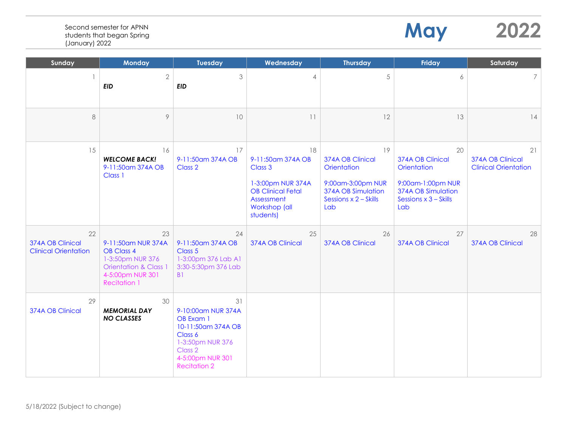|--|--|

**May** 

| Sunday                                                | <b>Monday</b>                                                                                                                                    | <b>Tuesday</b>                                                                                                                                   | Wednesday                                                                                                                       | <b>Thursday</b>                                                                                                  | <b>Friday</b>                                                                                                    | Saturday                                              |
|-------------------------------------------------------|--------------------------------------------------------------------------------------------------------------------------------------------------|--------------------------------------------------------------------------------------------------------------------------------------------------|---------------------------------------------------------------------------------------------------------------------------------|------------------------------------------------------------------------------------------------------------------|------------------------------------------------------------------------------------------------------------------|-------------------------------------------------------|
|                                                       | $\overline{2}$<br><b>EID</b>                                                                                                                     | 3<br><b>EID</b>                                                                                                                                  | 4                                                                                                                               | 5                                                                                                                | 6                                                                                                                | 7 <sup>1</sup>                                        |
| 8                                                     | $\circ$                                                                                                                                          | 10                                                                                                                                               | 11                                                                                                                              | 12                                                                                                               | 13                                                                                                               | 14                                                    |
| 15                                                    | 16<br><b>WELCOME BACK!</b><br>9-11:50am 374A OB<br>Class 1                                                                                       | 17<br>9-11:50am 374A OB<br>Class 2                                                                                                               | 18<br>9-11:50am 374A OB<br>Class 3<br>1-3:00pm NUR 374A<br><b>OB Clinical Fetal</b><br>Assessment<br>Workshop (all<br>students) | 19<br>374A OB Clinical<br>Orientation<br>9:00am-3:00pm NUR<br>374A OB Simulation<br>Sessions x 2 - Skills<br>Lab | 20<br>374A OB Clinical<br>Orientation<br>9:00am-1:00pm NUR<br>374A OB Simulation<br>Sessions x 3 - Skills<br>Lab | 21<br>374A OB Clinical<br><b>Clinical Orientation</b> |
| 22<br>374A OB Clinical<br><b>Clinical Orientation</b> | 23<br>9-11:50am NUR 374A<br><b>OB Class 4</b><br>1-3:50pm NUR 376<br><b>Orientation &amp; Class 1</b><br>4-5:00pm NUR 301<br><b>Recitation 1</b> | 24<br>9-11:50am 374A OB<br>Class 5<br>1-3:00pm 376 Lab A1<br>3:30-5:30pm 376 Lab<br>B <sub>1</sub>                                               | 25<br>374A OB Clinical                                                                                                          | 26<br>374A OB Clinical                                                                                           | 27<br>374A OB Clinical                                                                                           | 28<br>374A OB Clinical                                |
| 29<br>374A OB Clinical                                | 30<br><b>MEMORIAL DAY</b><br><b>NO CLASSES</b>                                                                                                   | 31<br>9-10:00am NUR 374A<br>OB Exam 1<br>10-11:50am 374A OB<br>Class 6<br>1-3:50pm NUR 376<br>Class 2<br>4-5:00pm NUR 301<br><b>Recitation 2</b> |                                                                                                                                 |                                                                                                                  |                                                                                                                  |                                                       |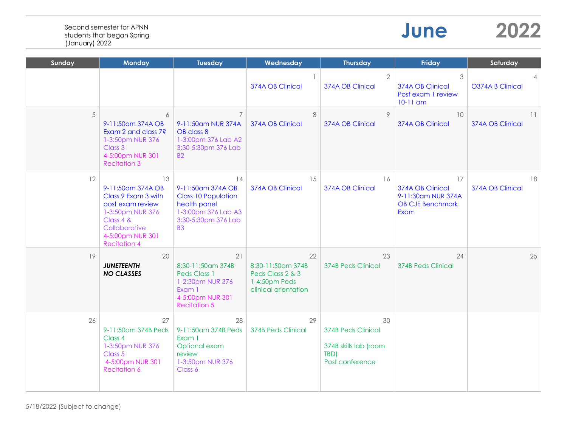| June | 2022 |
|------|------|
|------|------|

| Sunday | <b>Monday</b>                                                                                                                                                   | <b>Tuesday</b>                                                                                                                    | Wednesday                                                                            | <b>Thursday</b>                                                                     | <b>Friday</b>                                                                   | Saturday               |
|--------|-----------------------------------------------------------------------------------------------------------------------------------------------------------------|-----------------------------------------------------------------------------------------------------------------------------------|--------------------------------------------------------------------------------------|-------------------------------------------------------------------------------------|---------------------------------------------------------------------------------|------------------------|
|        |                                                                                                                                                                 |                                                                                                                                   | 374A OB Clinical                                                                     | $\overline{2}$<br>374A OB Clinical                                                  | 3<br>374A OB Clinical<br>Post exam 1 review<br>$10-11$ am                       | O374A B Clinical       |
| 5      | 6<br>9-11:50am 374A OB<br>Exam 2 and class 7?<br>1-3:50pm NUR 376<br>Class 3<br>4-5:00pm NUR 301<br><b>Recitation 3</b>                                         | $\overline{7}$<br>9-11:50am NUR 374A<br>OB class 8<br>1-3:00pm 376 Lab A2<br>3:30-5:30pm 376 Lab<br><b>B2</b>                     | 8<br>374A OB Clinical                                                                | 9<br>374A OB Clinical                                                               | 10<br>374A OB Clinical                                                          | 11<br>374A OB Clinical |
| 12     | 13<br>9-11:50am 374A OB<br>Class 9 Exam 3 with<br>post exam review<br>1-3:50pm NUR 376<br>Class 4 &<br>Collaborative<br>4-5:00pm NUR 301<br><b>Recitation 4</b> | 14<br>9-11:50 am 374A OB<br><b>Class 10 Population</b><br>health panel<br>1-3:00pm 376 Lab A3<br>3:30-5:30pm 376 Lab<br><b>B3</b> | 15<br>374A OB Clinical                                                               | 16<br>374A OB Clinical                                                              | 17<br>374A OB Clinical<br>9-11:30am NUR 374A<br><b>OB CJE Benchmark</b><br>Exam | 18<br>374A OB Clinical |
| 19     | 20<br><b>JUNETEENTH</b><br><b>NO CLASSES</b>                                                                                                                    | 21<br>8:30-11:50am 374B<br>Peds Class 1<br>1-2:30pm NUR 376<br>Exam 1<br>4-5:00pm NUR 301<br><b>Recitation 5</b>                  | 22<br>8:30-11:50am 374B<br>Peds Class 2 & 3<br>1-4:50pm Peds<br>clinical orientation | 23<br>374B Peds Clinical                                                            | 24<br><b>374B Peds Clinical</b>                                                 | 25                     |
| 26     | 27<br>9-11:50am 374B Peds<br>Class 4<br>1-3:50pm NUR 376<br>Class 5<br>4-5:00pm NUR 301<br><b>Recitation 6</b>                                                  | 28<br>9-11:50am 374B Peds<br>Exam 1<br>Optional exam<br>review<br>1-3:50pm NUR 376<br>Class 6                                     | 29<br><b>374B Peds Clinical</b>                                                      | 30<br><b>374B Peds Clinical</b><br>374B skills lab (room<br>TBD)<br>Post conference |                                                                                 |                        |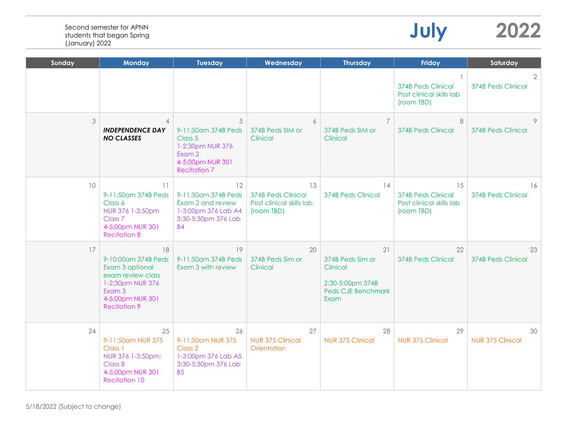|    |                                                                                                                                            |                                                                                                              |                                                                           |                                                                                             | <b>374B Peds Clinical</b><br>Post clinical skills lab<br>(room TBD)       | <b>374B Peds Clinical</b>       |
|----|--------------------------------------------------------------------------------------------------------------------------------------------|--------------------------------------------------------------------------------------------------------------|---------------------------------------------------------------------------|---------------------------------------------------------------------------------------------|---------------------------------------------------------------------------|---------------------------------|
| 3  | $\overline{4}$<br><b>INDEPENDENCE DAY</b><br><b>NO CLASSES</b>                                                                             | 5<br>9-11:50am 374B Peds<br>Class 5<br>1-2:30pm NUR 376<br>Exam 2<br>4-5:00pm NUR 301<br><b>Recitation 7</b> | 6<br>374B Peds SIM or<br>Clinical                                         | 7<br>374B Peds SIM or<br>Clinical                                                           | 8<br><b>374B Peds Clinical</b>                                            | <b>374B Peds Clinical</b>       |
| 10 | 11<br>9-11:50am 374B Peds<br>Class 6<br>NUR 376 1-3:50pm<br>Class <sub>7</sub><br>4-5:00pm NUR 301<br><b>Recitation 8</b>                  | 12<br>9-11:50am 374B Peds<br>Exam 2 and review<br>1-3:00pm 376 Lab A4<br>3:30-5:30pm 376 Lab<br><b>B4</b>    | 13<br><b>374B Peds Clinical</b><br>Post clinical skills lab<br>(room TBD) | 14<br><b>374B Peds Clinical</b>                                                             | 15<br><b>374B Peds Clinical</b><br>Post clinical skills lab<br>(room TBD) | 16<br><b>374B Peds Clinical</b> |
| 17 | 18<br>9-10:00am 374B Peds<br>Exam 3 optional<br>exam review class<br>1-2:30pm NUR 376<br>Exam 3<br>4-5:00pm NUR 301<br><b>Recitation 9</b> | 19<br>9-11:50am 374B Peds<br>Exam 3 with review                                                              | 20<br>374B Peds Sim or<br>Clinical                                        | 21<br>374B Peds Sim or<br>Clinical<br>2:30-5:00pm 374B<br><b>Peds CJE Benchmark</b><br>Exam | 22<br><b>374B Peds Clinical</b>                                           | 23<br><b>374B Peds Clinical</b> |
| 24 | 25<br>9-11:50am NUR 375<br>Class 1<br>NUR 376 1-3:50pm:<br>Class 8<br>4-5:00pm NUR 301<br><b>Recitation 10</b>                             | 26<br>9-11:50am NUR 375<br>Class 2<br>1-3:00pm 376 Lab A5<br>3:30-5:30pm 376 Lab<br><b>B5</b>                | 27<br><b>NUR 375 Clinical</b><br>Orientation                              | 28<br><b>NUR 375 Clinical</b>                                                               | 29<br><b>NUR 375 Clinical</b>                                             | 30<br><b>NUR 375 Clinical</b>   |

**Sunday Monday Tuesday Wednesday Thursday Friday Saturday**

**July 2022**